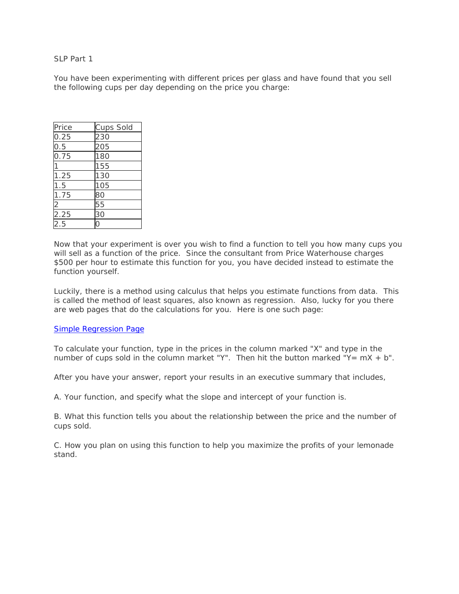## SLP Part 1

You have been experimenting with different prices per glass and have found that you sell the following cups per day depending on the price you charge:

| Price                   | Cups Sold |
|-------------------------|-----------|
| 0.25                    | 230       |
| $\frac{1}{0.5}$         | 205       |
| 0.75                    | 180       |
|                         | 155       |
| 1.25                    | 130       |
| 1.5                     | 105       |
| 1.75                    | 80        |
|                         | 55        |
| $\frac{2}{2.25}$<br>2.5 | 30        |
|                         |           |

Now that your experiment is over you wish to find a function to tell you how many cups you will sell as a function of the price. Since the consultant from Price Waterhouse charges \$500 per hour to estimate this function for you, you have decided instead to estimate the function yourself.

Luckily, there is a method using calculus that helps you estimate functions from data. This is called the method of least squares, also known as regression. Also, lucky for you there are web pages that do the calculations for you. Here is one such page:

## Simple Regression Page

To calculate your function, type in the prices in the column marked "X" and type in the number of cups sold in the column market "Y". Then hit the button marked "Y=  $mX + b$ ".

After you have your answer, report your results in an executive summary that includes,

A. Your function, and specify what the slope and intercept of your function is.

B. What this function tells you about the relationship between the price and the number of cups sold.

C. How you plan on using this function to help you maximize the profits of your lemonade stand.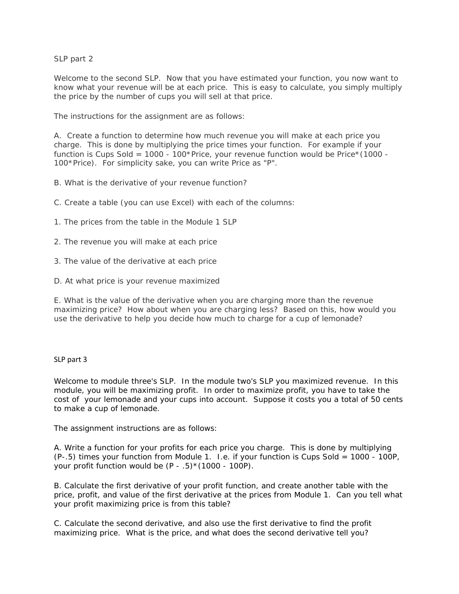SLP part 2

Welcome to the second SLP. Now that you have estimated your function, you now want to know what your revenue will be at each price. This is easy to calculate, you simply multiply the price by the number of cups you will sell at that price.

The instructions for the assignment are as follows:

A. Create a function to determine how much revenue you will make at each price you charge. This is done by multiplying the price times your function. For example if your function is Cups Sold = 1000 - 100\*Price, your revenue function would be Price\*(1000 - 100\*Price). For simplicity sake, you can write Price as "P".

- B. What is the derivative of your revenue function?
- C. Create a table (you can use Excel) with each of the columns:
- 1. The prices from the table in the Module 1 SLP
- 2. The revenue you will make at each price
- 3. The value of the derivative at each price
- D. At what price is your revenue maximized

E. What is the value of the derivative when you are charging more than the revenue maximizing price? How about when you are charging less? Based on this, how would you use the derivative to help you decide how much to charge for a cup of lemonade?

## SLP part 3

Welcome to module three's SLP. In the module two's SLP you maximized revenue. In this module, you will be maximizing profit. In order to maximize profit, you have to take the cost of your lemonade and your cups into account. Suppose it costs you a total of 50 cents to make a cup of lemonade.

The assignment instructions are as follows:

A. Write a function for your profits for each price you charge. This is done by multiplying (P-.5) times your function from Module 1. I.e. if your function is Cups Sold = 1000 - 100P, your profit function would be  $(P - .5)$ <sup>\*</sup>(1000 - 100P).

B. Calculate the first derivative of your profit function, and create another table with the price, profit, and value of the first derivative at the prices from Module 1. Can you tell what your profit maximizing price is from this table?

C. Calculate the second derivative, and also use the first derivative to find the profit maximizing price. What is the price, and what does the second derivative tell you?